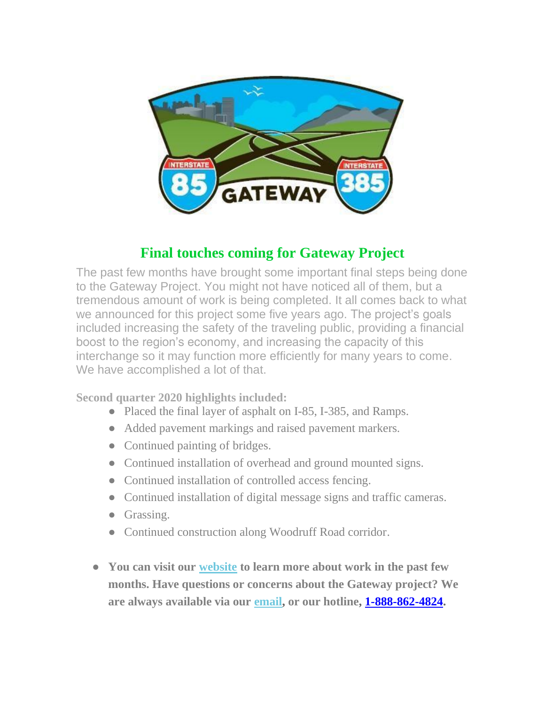

#### **Final touches coming for Gateway Project**

The past few months have brought some important final steps being done to the Gateway Project. You might not have noticed all of them, but a tremendous amount of work is being completed. It all comes back to what we announced for this project some five years ago. The project's goals included increasing the safety of the traveling public, providing a financial boost to the region's economy, and increasing the capacity of this interchange so it may function more efficiently for many years to come. We have accomplished a lot of that.

**Second quarter 2020 highlights included:**

- Placed the final layer of asphalt on I-85, I-385, and Ramps.
- Added pavement markings and raised pavement markers.
- Continued painting of bridges.
- Continued installation of overhead and ground mounted signs.
- Continued installation of controlled access fencing.
- Continued installation of digital message signs and traffic cameras.
- Grassing.
- Continued construction along Woodruff Road corridor.
- **You can visit our [website](http://85385gateway.us3.list-manage1.com/track/click?u=29213c3e63a90629b7a5c134f&id=3c0f38f1b3&e=6c9c410f40) to learn more about work in the past few months. Have questions or concerns about the Gateway project? We are always available via our [email,](http://85385gateway.us3.list-manage1.com/track/click?u=29213c3e63a90629b7a5c134f&id=ae604f8d64&e=6c9c410f40) or our hotline, [1-888-862-4824.](about:blank)**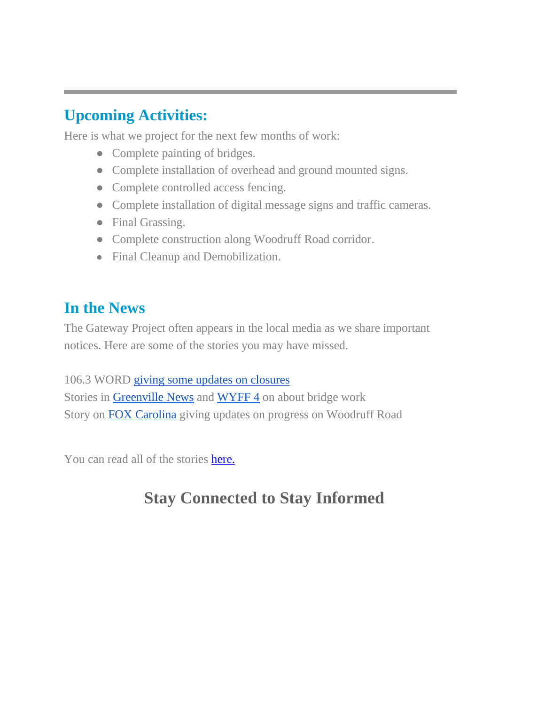# **Upcoming Activities:**

Here is what we project for the next few months of work:

- Complete painting of bridges.
- Complete installation of overhead and ground mounted signs.
- Complete controlled access fencing.
- Complete installation of digital message signs and traffic cameras.
- Final Grassing.
- Complete construction along Woodruff Road corridor.
- Final Cleanup and Demobilization.

### **In the News**

The Gateway Project often appears in the local media as we share important notices. Here are some of the stories you may have missed.

106.3 WORD [giving some updates on closures](https://1063word.radio.com/articles/news/gateway-lane-closure) Stories in [Greenville News](https://www.greenvilleonline.com/story/news/2020/05/11/due-complications-385-detour-remain-place-monday-greenville-sc/3107159001/) and [WYFF 4](https://www.wyff4.com/article/construction-delays-on-bridge-extend-detour-at-i-85385-interchange-today/32432516) on about bridge work Story on [FOX Carolina](https://www.foxcarolina.com/news/officials-1-lane-of-woodruff-road-to-close-wed-thurs-for-curb-gutter-installation/article_c36b1562-aa8b-11ea-ad9c-bf8d5af4f26e.html) giving updates on progress on Woodruff Road

You can read all of the stories [here.](http://www.85385gateway.com/news.aspx)

# **Stay Connected to Stay Informed**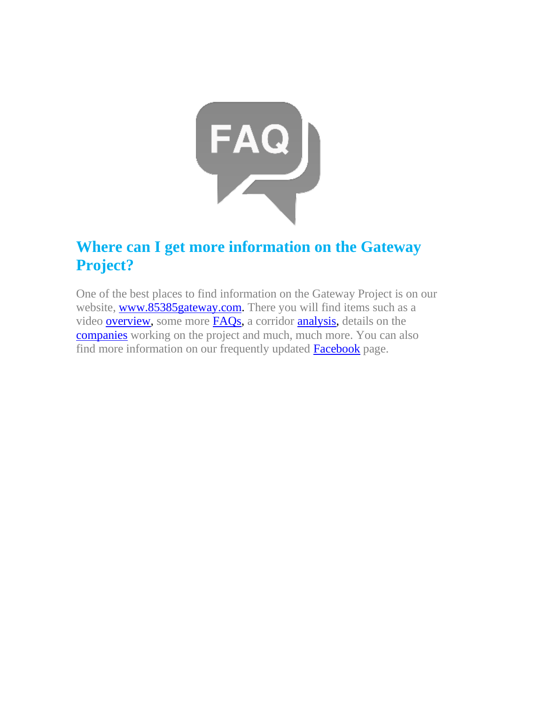

# **Where can I get more information on the Gateway Project?**

One of the best places to find information on the Gateway Project is on our website, [www.85385gateway.com.](http://www.85385gateway.com/) There you will find items such as a video **overview**, some more **FAQs**, a corridor **analysis**, details on the [companies](http://www.85385gateway.com/team.aspx) working on the project and much, much more. You can also find more information on our frequently updated [Facebook](about:blank) page.